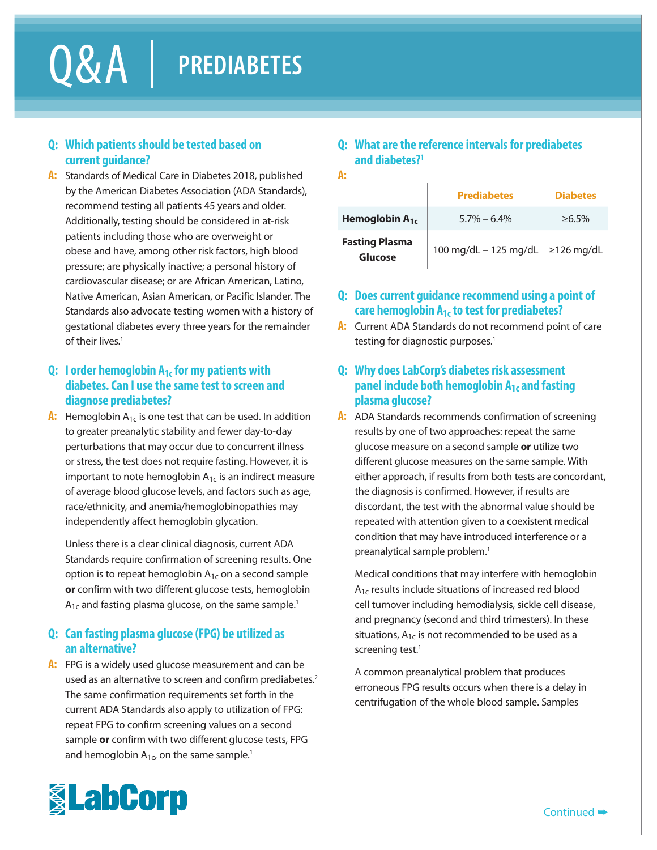# Q & A **PREDIABETES**

#### **Q: Which patients should be tested based on current guidance?**

**A:** Standards of Medical Care in Diabetes 2018, published by the American Diabetes Association (ADA Standards), recommend testing all patients 45 years and older. Additionally, testing should be considered in at-risk patients including those who are overweight or obese and have, among other risk factors, high blood pressure; are physically inactive; a personal history of cardiovascular disease; or are African American, Latino, Native American, Asian American, or Pacific Islander. The Standards also advocate testing women with a history of gestational diabetes every three years for the remainder of their lives $<sup>1</sup>$ </sup>

### **Q: I order hemoglobin A1c for my patients with diabetes. Can I use the same test to screen and diagnose prediabetes?**

**A:** Hemoglobin  $A_{1c}$  is one test that can be used. In addition to greater preanalytic stability and fewer day-to-day perturbations that may occur due to concurrent illness or stress, the test does not require fasting. However, it is important to note hemoglobin  $A_{1c}$  is an indirect measure of average blood glucose levels, and factors such as age, race/ethnicity, and anemia/hemoglobinopathies may independently affect hemoglobin glycation.

Unless there is a clear clinical diagnosis, current ADA Standards require confirmation of screening results. One option is to repeat hemoglobin  $A_{1c}$  on a second sample **or** confirm with two different glucose tests, hemoglobin  $A_{1c}$  and fasting plasma glucose, on the same sample.<sup>1</sup>

#### **Q: Can fasting plasma glucose (FPG) be utilized as an alternative?**

**A:** FPG is a widely used glucose measurement and can be used as an alternative to screen and confirm prediabetes.<sup>2</sup> The same confirmation requirements set forth in the current ADA Standards also apply to utilization of FPG: repeat FPG to confirm screening values on a second sample **or** confirm with two different glucose tests, FPG and hemoglobin  $A_{1c}$ , on the same sample.<sup>1</sup>

### **Q: What are the reference intervals for prediabetes and diabetes?1**

**A:**

|                                  | <b>Prediabetes</b>    | <b>Diabetes</b>  |
|----------------------------------|-----------------------|------------------|
| Hemoglobin $A_{1c}$              | $5.7\% - 6.4\%$       | $>6.5\%$         |
| <b>Fasting Plasma</b><br>Glucose | 100 mg/dL - 125 mg/dL | $\geq$ 126 mg/dL |

# **Q: Does current guidance recommend using a point of care hemoglobin A1c to test for prediabetes?**

**A:** Current ADA Standards do not recommend point of care testing for diagnostic purposes.<sup>1</sup>

## **Q: Why does LabCorp's diabetes risk assessment panel include both hemoglobin A1c and fasting plasma glucose?**

**A:** ADA Standards recommends confirmation of screening results by one of two approaches: repeat the same glucose measure on a second sample **or** utilize two different glucose measures on the same sample. With either approach, if results from both tests are concordant, the diagnosis is confirmed. However, if results are discordant, the test with the abnormal value should be repeated with attention given to a coexistent medical condition that may have introduced interference or a preanalytical sample problem.<sup>1</sup>

Medical conditions that may interfere with hemoglobin A<sub>1c</sub> results include situations of increased red blood cell turnover including hemodialysis, sickle cell disease, and pregnancy (second and third trimesters). In these situations,  $A_{1c}$  is not recommended to be used as a screening test.<sup>1</sup>

A common preanalytical problem that produces erroneous FPG results occurs when there is a delay in centrifugation of the whole blood sample. Samples